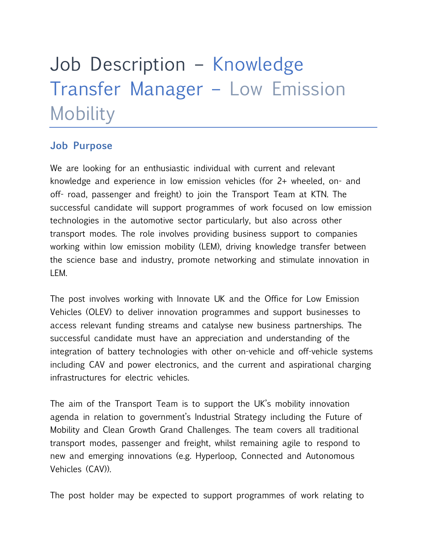# Job Description – Knowledge Transfer Manager – Low Emission **Mobility**

### **Job Purpose**

We are looking for an enthusiastic individual with current and relevant knowledge and experience in low emission vehicles (for 2+ wheeled, on- and off- road, passenger and freight) to join the Transport Team at KTN. The successful candidate will support programmes of work focused on low emission technologies in the automotive sector particularly, but also across other transport modes. The role involves providing business support to companies working within low emission mobility (LEM), driving knowledge transfer between the science base and industry, promote networking and stimulate innovation in LEM.

The post involves working with Innovate UK and the Office for Low Emission Vehicles (OLEV) to deliver innovation programmes and support businesses to access relevant funding streams and catalyse new business partnerships. The successful candidate must have an appreciation and understanding of the integration of battery technologies with other on-vehicle and off-vehicle systems including CAV and power electronics, and the current and aspirational charging infrastructures for electric vehicles.

The aim of the Transport Team is to support the UK's mobility innovation agenda in relation to government's Industrial Strategy including the Future of Mobility and Clean Growth Grand Challenges. The team covers all traditional transport modes, passenger and freight, whilst remaining agile to respond to new and emerging innovations (e.g. Hyperloop, Connected and Autonomous Vehicles (CAV)).

The post holder may be expected to support programmes of work relating to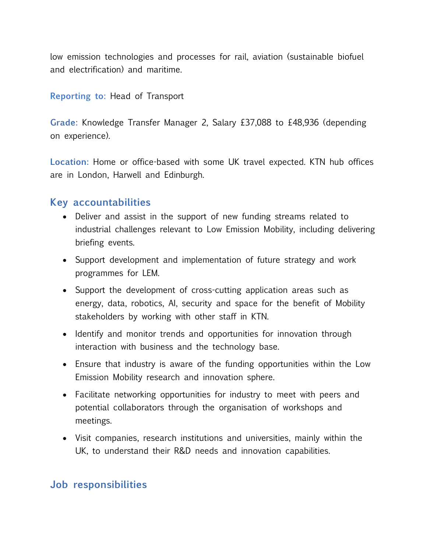low emission technologies and processes for rail, aviation (sustainable biofuel and electrification) and maritime.

#### **Reporting to:** Head of Transport

**Grade:** Knowledge Transfer Manager 2, Salary £37,088 to £48,936 (depending on experience).

**Location:** Home or office-based with some UK travel expected. KTN hub offices are in London, Harwell and Edinburgh.

#### **Key accountabilities**

- Deliver and assist in the support of new funding streams related to industrial challenges relevant to Low Emission Mobility, including delivering briefing events.
- Support development and implementation of future strategy and work programmes for LEM.
- Support the development of cross-cutting application areas such as energy, data, robotics, AI, security and space for the benefit of Mobility stakeholders by working with other staff in KTN.
- Identify and monitor trends and opportunities for innovation through interaction with business and the technology base.
- Ensure that industry is aware of the funding opportunities within the Low Emission Mobility research and innovation sphere.
- Facilitate networking opportunities for industry to meet with peers and potential collaborators through the organisation of workshops and meetings.
- Visit companies, research institutions and universities, mainly within the UK, to understand their R&D needs and innovation capabilities.

#### **Job responsibilities**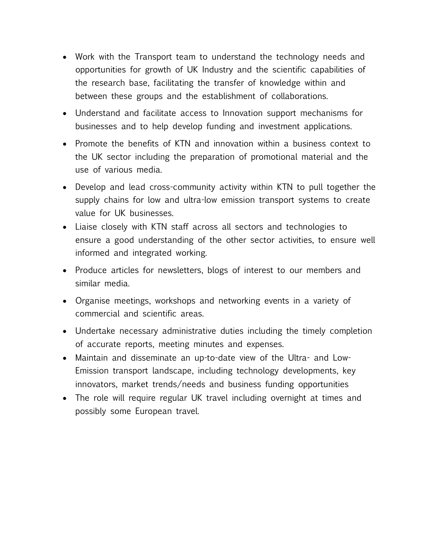- Work with the Transport team to understand the technology needs and opportunities for growth of UK Industry and the scientific capabilities of the research base, facilitating the transfer of knowledge within and between these groups and the establishment of collaborations.
- Understand and facilitate access to Innovation support mechanisms for businesses and to help develop funding and investment applications.
- Promote the benefits of KTN and innovation within a business context to the UK sector including the preparation of promotional material and the use of various media.
- Develop and lead cross-community activity within KTN to pull together the supply chains for low and ultra-low emission transport systems to create value for UK businesses.
- Liaise closely with KTN staff across all sectors and technologies to ensure a good understanding of the other sector activities, to ensure well informed and integrated working.
- Produce articles for newsletters, blogs of interest to our members and similar media.
- Organise meetings, workshops and networking events in a variety of commercial and scientific areas.
- Undertake necessary administrative duties including the timely completion of accurate reports, meeting minutes and expenses.
- Maintain and disseminate an up-to-date view of the Ultra- and Low-Emission transport landscape, including technology developments, key innovators, market trends/needs and business funding opportunities
- The role will require regular UK travel including overnight at times and possibly some European travel.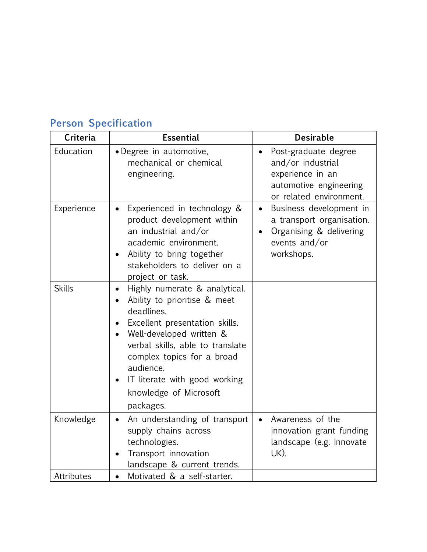| <b>Criteria</b> | <b>Essential</b>                                                                                                                                                                                                                                                                                              | <b>Desirable</b>                                                                                                                         |
|-----------------|---------------------------------------------------------------------------------------------------------------------------------------------------------------------------------------------------------------------------------------------------------------------------------------------------------------|------------------------------------------------------------------------------------------------------------------------------------------|
| Education       | • Degree in automotive,<br>mechanical or chemical<br>engineering.                                                                                                                                                                                                                                             | Post-graduate degree<br>$\bullet$<br>and/or industrial<br>experience in an<br>automotive engineering<br>or related environment.          |
| Experience      | Experienced in technology &<br>product development within<br>an industrial and/or<br>academic environment.<br>Ability to bring together<br>stakeholders to deliver on a<br>project or task.                                                                                                                   | Business development in<br>$\bullet$<br>a transport organisation.<br>Organising & delivering<br>$\bullet$<br>events and/or<br>workshops. |
| <b>Skills</b>   | Highly numerate & analytical.<br>$\bullet$<br>Ability to prioritise & meet<br>deadlines.<br>Excellent presentation skills.<br>Well-developed written &<br>verbal skills, able to translate<br>complex topics for a broad<br>audience.<br>IT literate with good working<br>knowledge of Microsoft<br>packages. |                                                                                                                                          |
| Knowledge       | An understanding of transport<br>$\bullet$<br>supply chains across<br>technologies.<br>Transport innovation<br>landscape & current trends.                                                                                                                                                                    | Awareness of the<br>$\bullet$<br>innovation grant funding<br>landscape (e.g. Innovate<br>UK).                                            |
| Attributes      | Motivated & a self-starter.<br>$\bullet$                                                                                                                                                                                                                                                                      |                                                                                                                                          |

## **Person Specification**